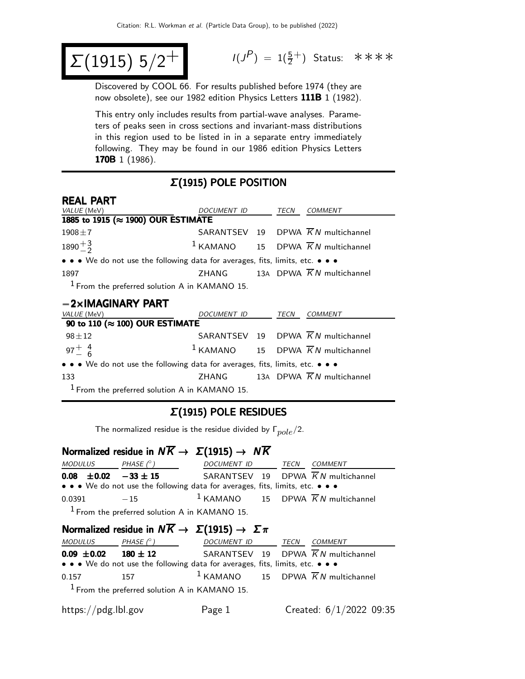$$
\Sigma(1915) 5/2^+
$$

 $(P) = 1(\frac{5}{2}^+)$  Status: \*\*\*\*

Discovered by COOL 66. For results published before 1974 (they are now obsolete), see our 1982 edition Physics Letters 111B 1 (1982).

This entry only includes results from partial-wave analyses. Parameters of peaks seen in cross sections and invariant-mass distributions in this region used to be listed in in a separate entry immediately following. They may be found in our 1986 edition Physics Letters 170B 1 (1986).

### Σ(1915) POLE POSITION

| <b>REAL PART</b>                                                              |                    |      |                                                 |
|-------------------------------------------------------------------------------|--------------------|------|-------------------------------------------------|
| <i>VALUE</i> (MeV)                                                            | DOCUMENT ID        | TECN | <b>COMMENT</b>                                  |
| 1885 to 1915 (≈ 1900) OUR ESTIMATE                                            |                    |      |                                                 |
| $1908 + 7$                                                                    |                    |      | SARANTSEV 19 DPWA $\overline{K}N$ multichannel  |
| $1890 + \frac{3}{2}$                                                          |                    |      | $1$ KAMANO 15 DPWA $\overline{K}N$ multichannel |
| • • • We do not use the following data for averages, fits, limits, etc. • • • |                    |      |                                                 |
| 1897                                                                          |                    |      | ZHANG 13A DPWA $\overline{K}N$ multichannel     |
| $1$ From the preferred solution A in KAMANO 15.                               |                    |      |                                                 |
| $-2\times$ IMAGINARY PART                                                     |                    |      |                                                 |
| VALUE (MeV)                                                                   | <b>DOCUMENT ID</b> | TECN | <b>COMMENT</b>                                  |
| 90 to 110 ( $\approx$ 100) OUR ESTIMATE                                       |                    |      |                                                 |
| $98 + 12$                                                                     |                    |      | SARANTSEV 19 DPWA $\overline{K}N$ multichannel  |
| $\blacksquare$                                                                |                    |      |                                                 |

 $97^{+}_{-}$   $^{4}_{6}$  $1$  KAMANO 15 DPWA  $\overline{K}N$  multichannel • • • We do not use the following data for averages, fits, limits, etc. • • • 133 ZHANG 13A DPWA  $\overline{K}N$  multichannel

 $1$  From the preferred solution A in KAMANO 15.

#### Σ(1915) POLE RESIDUES

The normalized residue is the residue divided by  $\Gamma_{pole}/2$ .

# Normalized residue in  $N\overline{K} \rightarrow \Sigma(1915) \rightarrow N\overline{K}$

| <i>MODULUS</i> | PHASE $(^\circ)$                                | DOCUMENT ID TECN                                                              | COMMENT |
|----------------|-------------------------------------------------|-------------------------------------------------------------------------------|---------|
|                | $0.08 \pm 0.02 -33 \pm 15$                      | SARANTSEV 19 DPWA $\overline{K}N$ multichannel                                |         |
|                |                                                 | • • • We do not use the following data for averages, fits, limits, etc. • • • |         |
| 0.0391         | $-15$                                           | <sup>1</sup> KAMANO 15 DPWA $\overline{K}N$ multichannel                      |         |
|                | $1$ From the preferred solution A in KAMANO 15. |                                                                               |         |

## Normalized residue in  $N\overline{K} \rightarrow \Sigma(1915) \rightarrow \Sigma \pi$

| <i>MODULUS</i>  | PHASE $(^\circ)$                                                                                                      | DOCUMENT ID TECN                                | <i>COMMENT</i> |
|-----------------|-----------------------------------------------------------------------------------------------------------------------|-------------------------------------------------|----------------|
| $0.09 \pm 0.02$ | $180 \pm 12$                                                                                                          | SARANTSEV 19 DPWA $\overline{K}N$ multichannel  |                |
|                 | $\bullet \bullet \bullet$ We do not use the following data for averages, fits, limits, etc. $\bullet \bullet \bullet$ |                                                 |                |
| 0.157           | 157                                                                                                                   | $1$ KAMANO 15 DPWA $\overline{K}N$ multichannel |                |
|                 | $1$ From the preferred solution A in KAMANO 15.                                                                       |                                                 |                |

| https://pdg.lbl.gov | Page 1 | Created: $6/1/2022$ 09:35 |  |  |
|---------------------|--------|---------------------------|--|--|
|                     |        |                           |  |  |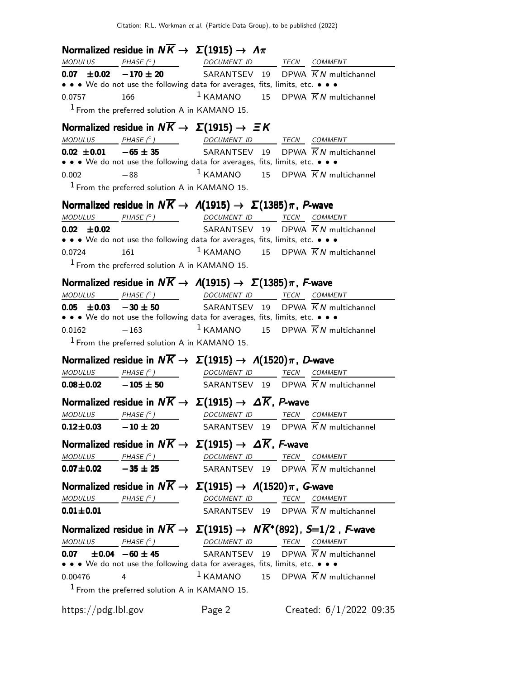|                     | Normalized residue in $N\overline{K} \rightarrow \Sigma(1915) \rightarrow \Lambda \pi$                                                                                                         |                                                 |                                                                                                                                                   |
|---------------------|------------------------------------------------------------------------------------------------------------------------------------------------------------------------------------------------|-------------------------------------------------|---------------------------------------------------------------------------------------------------------------------------------------------------|
| <b>MODULUS</b>      | PHASE (° ) DOCUMENT ID TECN COMMENT                                                                                                                                                            |                                                 |                                                                                                                                                   |
|                     | <b>0.07</b> $\pm$ <b>0.02</b> -170 $\pm$ 20 SARANTSEV 19 DPWA $\overline{K}N$ multichannel                                                                                                     |                                                 |                                                                                                                                                   |
|                     | • • • We do not use the following data for averages, fits, limits, etc. • • •                                                                                                                  |                                                 |                                                                                                                                                   |
| 0.0757              | 166                                                                                                                                                                                            |                                                 | <sup>1</sup> KAMANO 15 DPWA $\overline{K}N$ multichannel                                                                                          |
|                     | $1$ From the preferred solution A in KAMANO 15.                                                                                                                                                |                                                 |                                                                                                                                                   |
|                     | Normalized residue in $N\overline{K} \rightarrow \Sigma(1915) \rightarrow \Xi K$                                                                                                               |                                                 |                                                                                                                                                   |
|                     | $\underline{\textit{MODULUS}} \qquad \underline{\textit{PHASE (^{\circ})}} \qquad \qquad \underline{\textit{DOCUMENT ID}} \qquad \underline{\textit{TECN}} \quad \underline{\textit{COMMENT}}$ |                                                 |                                                                                                                                                   |
|                     | $0.02 \pm 0.01$ $-65 \pm 35$ SARANTSEV 19                                                                                                                                                      |                                                 | DPWA $\overline{K}N$ multichannel                                                                                                                 |
|                     | • • • We do not use the following data for averages, fits, limits, etc. • • •                                                                                                                  |                                                 |                                                                                                                                                   |
| 0.002               | $-88$                                                                                                                                                                                          |                                                 | $1$ KAMANO 15 DPWA $\overline{K}N$ multichannel                                                                                                   |
|                     | $1$ From the preferred solution A in KAMANO 15.                                                                                                                                                |                                                 |                                                                                                                                                   |
|                     | Normalized residue in $N\overline{K} \to \Lambda(1915) \to \Sigma(1385)\pi$ , P-wave                                                                                                           |                                                 |                                                                                                                                                   |
|                     | $MODULUS$ PHASE $(°)$ DOCUMENT ID TECN COMMENT                                                                                                                                                 |                                                 |                                                                                                                                                   |
| $0.02 \pm 0.02$     |                                                                                                                                                                                                |                                                 | SARANTSEV 19 DPWA $\overline{K}N$ multichannel                                                                                                    |
|                     | • • • We do not use the following data for averages, fits, limits, etc. • • •                                                                                                                  |                                                 |                                                                                                                                                   |
| 0.0724              | 161                                                                                                                                                                                            |                                                 | $1$ KAMANO 15 DPWA $\overline{K}N$ multichannel                                                                                                   |
|                     | <sup>1</sup> From the preferred solution A in KAMANO 15.                                                                                                                                       |                                                 |                                                                                                                                                   |
|                     | Normalized residue in $N\overline{K} \to \Lambda(1915) \to \Sigma(1385)\pi$ , F-wave                                                                                                           |                                                 |                                                                                                                                                   |
|                     | $\textit{MODULUS}$ PHASE (° ) DOCUMENT ID TECN COMMENT                                                                                                                                         |                                                 |                                                                                                                                                   |
|                     | <b>0.05 <math>\pm</math>0.03</b> - 30 $\pm$ 50 SARANTSEV 19 DPWA $\overline{K}N$ multichannel                                                                                                  |                                                 |                                                                                                                                                   |
|                     | • • • We do not use the following data for averages, fits, limits, etc. • • •                                                                                                                  |                                                 |                                                                                                                                                   |
| 0.0162              | $-163$                                                                                                                                                                                         | $1$ KAMANO 15 DPWA $\overline{K}N$ multichannel |                                                                                                                                                   |
|                     | $1$ From the preferred solution A in KAMANO 15.                                                                                                                                                |                                                 |                                                                                                                                                   |
|                     | Normalized residue in $N\overline{K} \to \Sigma(1915) \to \Lambda(1520)\pi$ , D-wave                                                                                                           |                                                 |                                                                                                                                                   |
|                     | $MODULUS$ PHASE $(°)$ DOCUMENT ID TECN COMMENT                                                                                                                                                 |                                                 |                                                                                                                                                   |
|                     | <b>0.08±0.02</b> -105 ± 50 SARANTSEV 19 DPWA $\overline{K}N$ multichannel                                                                                                                      |                                                 |                                                                                                                                                   |
|                     | Normalized residue in $N\overline{K} \to \Sigma(1915) \to \Delta \overline{K}$ , P-wave                                                                                                        |                                                 |                                                                                                                                                   |
|                     | $\begin{array}{ccccccccc} \textit{MODULUS} & \textit{PHASE (}^{\circ}) & \textit{O} & \textit{OOCUMENT ID} & \textit{TECN} & \textit{COMMENT} & \textit{O} \end{array}$                        |                                                 |                                                                                                                                                   |
|                     |                                                                                                                                                                                                |                                                 | <b>0.12±0.03</b> $-10 \pm 20$ SARANTSEV 19 DPWA $\overline{K}N$ multichannel                                                                      |
|                     | Normalized residue in $N\overline{K} \to \Sigma(1915) \to \Delta \overline{K}$ , F-wave                                                                                                        |                                                 |                                                                                                                                                   |
|                     |                                                                                                                                                                                                |                                                 |                                                                                                                                                   |
|                     |                                                                                                                                                                                                |                                                 | $\frac{MODULUS}{0.07\pm0.02}$ $\frac{PHASE(^{\circ})}{-35\pm25}$ $\frac{DOCUMENT}{SARANTSEV}$ $\frac{TECN}{19}$ $\frac{COMMENT}{KN}$ multichannel |
|                     | Normalized residue in $N\overline{K} \to \Sigma(1915) \to \Lambda(1520)\pi$ , G-wave                                                                                                           |                                                 |                                                                                                                                                   |
|                     | $\begin{array}{ccccccccc} \textit{MODULUS} & \textit{PHASE (}^{\circ}) & \textit{O} & \textit{OOCUMENT ID} & \textit{TECN} & \textit{COMMENT} & \textit{O} \end{array}$                        |                                                 |                                                                                                                                                   |
| $0.01 \pm 0.01$     |                                                                                                                                                                                                | SARANTSEV 19 DPWA $\overline{K}N$ multichannel  |                                                                                                                                                   |
|                     | Normalized residue in $N\overline{K} \to \Sigma(1915) \to N\overline{K}^*(892)$ , S=1/2, F-wave                                                                                                |                                                 |                                                                                                                                                   |
|                     | $\begin{array}{ccc}\textit{MODULUS} & \textit{PHASE (}^{\circ}) & \textit{DOCUMENT ID} & \textit{TECN} & \textit{COMMENT} \\ \end{array}$                                                      |                                                 |                                                                                                                                                   |
|                     | 0.07 $\pm$ 0.04 -60 $\pm$ 45 SARANTSEV 19 DPWA $\overline{K}N$ multichannel                                                                                                                    |                                                 |                                                                                                                                                   |
|                     | • • • We do not use the following data for averages, fits, limits, etc. • • •                                                                                                                  |                                                 |                                                                                                                                                   |
| 0.00476             | 4                                                                                                                                                                                              |                                                 | $1$ KAMANO 15 DPWA $\overline{K}N$ multichannel                                                                                                   |
|                     | <sup>1</sup> From the preferred solution A in KAMANO 15.                                                                                                                                       |                                                 |                                                                                                                                                   |
|                     |                                                                                                                                                                                                |                                                 |                                                                                                                                                   |
| https://pdg.lbl.gov |                                                                                                                                                                                                | Page 2                                          | Created: $6/1/2022$ 09:35                                                                                                                         |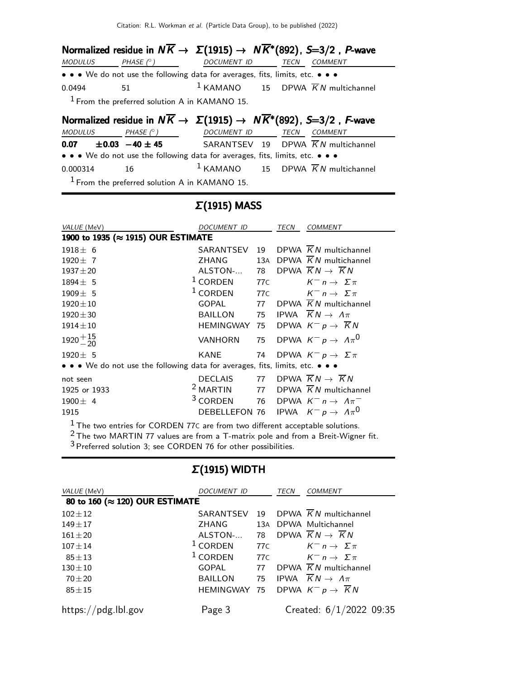Citation: R.L. Workman et al. (Particle Data Group), to be published (2022)

|                       |                                                 |                                                                               | Normalized residue in $N\overline{K} \to \Sigma(1915) \to N\overline{K}^*(892)$ , S=3/2, P-wave |
|-----------------------|-------------------------------------------------|-------------------------------------------------------------------------------|-------------------------------------------------------------------------------------------------|
| MODULUS               |                                                 | $PHASE \, \, {}^\circ$ ) DOCUMENT ID TECN                                     | COMMENT                                                                                         |
|                       |                                                 | • • • We do not use the following data for averages, fits, limits, etc. • • • |                                                                                                 |
| 51<br>0.0494          |                                                 |                                                                               | <sup>1</sup> KAMANO 15 DPWA $\overline{K}N$ multichannel                                        |
|                       | $1$ From the preferred solution A in KAMANO 15. |                                                                               |                                                                                                 |
|                       |                                                 |                                                                               | Normalized residue in $N\overline{K} \to \Sigma(1915) \to N\overline{K}^*(892)$ , S=3/2, F-wave |
|                       |                                                 |                                                                               |                                                                                                 |
|                       | MODULUS PHASE $(^\circ)$                        | DOCUMENT ID TECN                                                              | <b>COMMENT</b>                                                                                  |
|                       |                                                 |                                                                               | <b>0.07</b> $\pm$ <b>0.03</b> -40 $\pm$ 45 SARANTSEV 19 DPWA $\overline{K}N$ multichannel       |
|                       |                                                 | • • • We do not use the following data for averages, fits, limits, etc. • • • |                                                                                                 |
| $\sim$ 16<br>0.000314 |                                                 |                                                                               | $1$ KAMANO 15 DPWA $\overline{K}N$ multichannel                                                 |

# Σ(1915) MASS

| VALUE (MeV)                                                                   | <b>DOCUMENT ID</b>                                   |                 | <b>TECN</b> | <b>COMMENT</b>                                 |
|-------------------------------------------------------------------------------|------------------------------------------------------|-----------------|-------------|------------------------------------------------|
| 1900 to 1935 (≈ 1915) OUR ESTIMATE                                            |                                                      |                 |             |                                                |
| $1918 \pm 6$                                                                  | SARANTSEV                                            | 19              |             | DPWA $\overline{K}N$ multichannel              |
| $1920 + 7$                                                                    | ZHANG                                                | 13A             |             | DPWA $\overline{K}N$ multichannel              |
| $1937 + 20$                                                                   | ALSTON-                                              | 78              |             | DPWA $\overline{K}N \rightarrow \overline{K}N$ |
| $1894 \pm 5$                                                                  | $1$ CORDEN                                           | 77C             |             | $K^-$ n $\rightarrow$ $\Sigma \pi$             |
| $1909 \pm 5$                                                                  | $1$ CORDEN                                           | 77 <sub>C</sub> |             | $K^- n \to \Sigma \pi$                         |
| $1920 \pm 10$                                                                 | GOPAL 77                                             |                 |             | DPWA $\overline{K}N$ multichannel              |
| $1920 \pm 30$                                                                 | BAILLON                                              | 75              |             | IPWA $\overline{K}N \rightarrow \Lambda \pi$   |
| $1914 \pm 10$                                                                 | <b>HEMINGWAY</b>                                     | 75              |             | DPWA $K^- p \rightarrow \overline{K} N$        |
| $1920 + \frac{15}{20}$                                                        | VANHORN                                              | 75              |             | DPWA $K^- p \rightarrow \Lambda \pi^0$         |
| $1920 \pm 5$                                                                  | KANE                                                 | 74              |             | DPWA $K^- p \to \Sigma \pi$                    |
| • • • We do not use the following data for averages, fits, limits, etc. • • • |                                                      |                 |             |                                                |
| not seen                                                                      | <b>DECLAIS</b>                                       | 77              |             | DPWA $\overline{K}N \rightarrow \overline{K}N$ |
| 1925 or 1933                                                                  | <sup>2</sup> MARTIN                                  | 77              |             | DPWA $\overline{K}N$ multichannel              |
| $1900 \pm 4$                                                                  | <sup>3</sup> CORDEN                                  | 76              |             | DPWA $K^- n \rightarrow \Lambda \pi^-$         |
| 1915                                                                          | DEBELLEFON 76 IPWA $K^- p \rightarrow \Lambda \pi^0$ |                 |             |                                                |

 $^1$  The two entries for CORDEN 77C are from two different acceptable solutions.

 $^2$  The two MARTIN 77 values are from a T-matrix pole and from a Breit-Wigner fit.

 $3$  Preferred solution 3; see CORDEN 76 for other possibilities.

# Σ(1915) WIDTH

| VALUE (MeV)                    | DOCUMENT ID    |     | <b>TECN</b> | <b>COMMENT</b>                                       |
|--------------------------------|----------------|-----|-------------|------------------------------------------------------|
| 80 to 160 (≈ 120) OUR ESTIMATE |                |     |             |                                                      |
| $102 \pm 12$                   |                |     |             | SARANTSEV 19 DPWA $\overline{K}N$ multichannel       |
| $149 + 17$                     | ZHANG          |     |             | 13A DPWA Multichannel                                |
| $161 + 20$                     | ALSTON-        |     |             | 78 DPWA $\overline{K}N \rightarrow \overline{K}N$    |
| $107 + 14$                     | $1$ CORDEN     | 77C |             | $K^-$ n $\rightarrow$ $\Sigma \pi$                   |
| $85 \pm 13$                    | $1$ CORDEN     | 77C |             | $K^-$ n $\rightarrow$ $\Sigma \pi$                   |
| $130 \pm 10$                   | GOPAL          | 77  |             | DPWA $\overline{K}N$ multichannel                    |
| $70 + 20$                      | <b>BAILLON</b> |     |             | 75 IPWA $\overline{K}N \rightarrow \Lambda \pi$      |
| $85 \pm 15$                    |                |     |             | HEMINGWAY 75 DPWA $K^- p \rightarrow \overline{K} N$ |
| https://pdg.lbl.gov            | Page 3         |     |             | Created: 6/1/2022 09:35                              |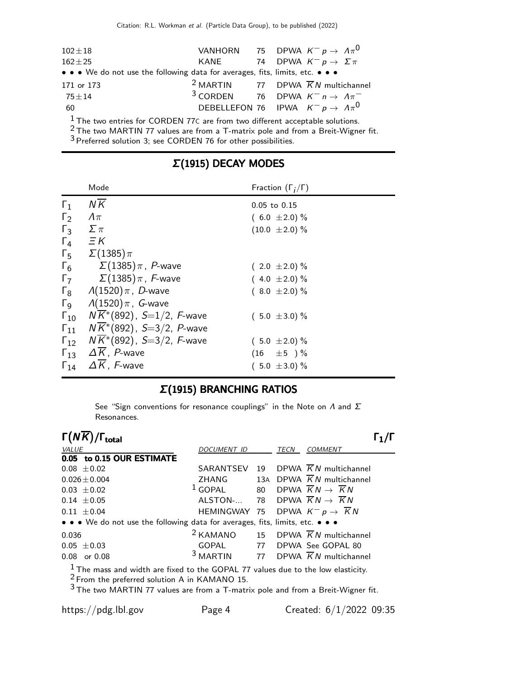| $102 \pm 18$                                                                               |  | VANHORN 75 DPWA $K^- p \rightarrow \Lambda \pi^0$             |
|--------------------------------------------------------------------------------------------|--|---------------------------------------------------------------|
| $162 + 25$                                                                                 |  | KANE 74 DPWA $K^- p \rightarrow \Sigma \pi$                   |
| • • • We do not use the following data for averages, fits, limits, etc. • • •              |  |                                                               |
| 171 or 173                                                                                 |  | <sup>2</sup> MARTIN 77 DPWA $\overline{K}N$ multichannel      |
| $75 \pm 14$                                                                                |  | <sup>3</sup> CORDEN 76 DPWA $K^- n \rightarrow \Lambda \pi^-$ |
| 60                                                                                         |  | DEBELLEFON 76 IPWA $K^- p \rightarrow \Lambda \pi^0$          |
| $1\tau_{\rm bc, true, antiles}$ for CODDEN 376 are from the different example to colutions |  |                                                               |

 $\frac{1}{2}$  The two entries for CORDEN 77C are from two different acceptable solutions.

 $2$  The two MARTIN 77 values are from a T-matrix pole and from a Breit-Wigner fit.

 $3$  Preferred solution 3; see CORDEN 76 for other possibilities.

|                       | Mode                           | Fraction $(\Gamma_i/\Gamma)$ |
|-----------------------|--------------------------------|------------------------------|
| $\Gamma_1$            | $N\overline{K}$                | $0.05$ to $0.15$             |
| $\Gamma_2$            | $\Lambda\pi$                   | $(6.0 \pm 2.0)\%$            |
| $\Gamma_3$            | $\Sigma \pi$                   | $(10.0 \pm 2.0)\%$           |
| $\Gamma_4$            | $\equiv$ $\kappa$              |                              |
| $\Gamma_5$            | $\Sigma(1385)\pi$              |                              |
| $\Gamma_6$            | $\Sigma(1385)\pi$ , $P$ -wave  | $(2.0 \pm 2.0)\%$            |
| $\Gamma$              | $\Sigma(1385)\pi$ , F-wave     | $(4.0 \pm 2.0)\%$            |
| $\Gamma_8$            | $\Lambda(1520)\pi$ , D-wave    | $(8.0 \pm 2.0)\%$            |
| $\Gamma$ <sub>9</sub> | $\Lambda(1520)\pi$ , G-wave    |                              |
| $\Gamma_{10}$         | $NK^*(892)$ , S=1/2, F-wave    | $(5.0 \pm 3.0)\%$            |
| $\Gamma_{11}$         | $NK^*(892)$ , S=3/2, P-wave    |                              |
| $\Gamma_{12}$         | $NK*(892)$ , S=3/2, F-wave     | $(5.0 \pm 2.0)\%$            |
| $\Gamma_{13}$         | $\Delta K$ , P-wave            | $(16 \pm 5) \%$              |
| $\Gamma_{14}$         | $\Delta \overline{K}$ , F-wave | $(5.0 \pm 3.0) \%$           |

# Σ(1915) DECAY MODES

## Σ(1915) BRANCHING RATIOS

See "Sign conventions for resonance couplings" in the Note on  $\Lambda$  and  $\Sigma$ Resonances.

| $\Gamma(N\overline{K})/\Gamma_{\rm total}$                                                                                            |                                                           |    |      |                                                          |  |
|---------------------------------------------------------------------------------------------------------------------------------------|-----------------------------------------------------------|----|------|----------------------------------------------------------|--|
| <b>VALUE</b>                                                                                                                          | DOCUMENT ID                                               |    | TECN | <b>COMMENT</b>                                           |  |
| 0.05 to 0.15 OUR ESTIMATE                                                                                                             |                                                           |    |      |                                                          |  |
| $0.08 \pm 0.02$                                                                                                                       |                                                           |    |      | SARANTSEV 19 DPWA $\overline{K}N$ multichannel           |  |
| $0.026 \pm 0.004$                                                                                                                     | ZHANG                                                     |    |      | 13A DPWA $\overline{K}N$ multichannel                    |  |
| $0.03 \pm 0.02$                                                                                                                       | $1$ GOPAL                                                 | 80 |      | DPWA $\overline{K}N \rightarrow \overline{K}N$           |  |
| $0.14 \pm 0.05$                                                                                                                       | ALSTON- 78 DPWA $\overline{K}N \rightarrow \overline{K}N$ |    |      |                                                          |  |
| $0.11 \pm 0.04$                                                                                                                       | HEMINGWAY 75 DPWA $K^- p \rightarrow \overline{K} N$      |    |      |                                                          |  |
| • • • We do not use the following data for averages, fits, limits, etc. • • •                                                         |                                                           |    |      |                                                          |  |
| 0.036                                                                                                                                 |                                                           |    |      | <sup>2</sup> KAMANO 15 DPWA $\overline{K}N$ multichannel |  |
| $0.05 \pm 0.03$                                                                                                                       |                                                           |    |      | GOPAL 77 DPWA See GOPAL 80                               |  |
| $0.08$ or $0.08$                                                                                                                      |                                                           |    |      | $3$ MARTIN 77 DPWA $\overline{K}N$ multichannel          |  |
| $1$ The mass and width are fixed to the GOPAL 77 values due to the low elasticity.<br>$2$ From the preferred solution A in KAMANO 15. |                                                           |    |      |                                                          |  |

 $^3$ The two MARTIN 77 values are from a T-matrix pole and from a Breit-Wigner fit.

https://pdg.lbl.gov Page 4 Created: 6/1/2022 09:35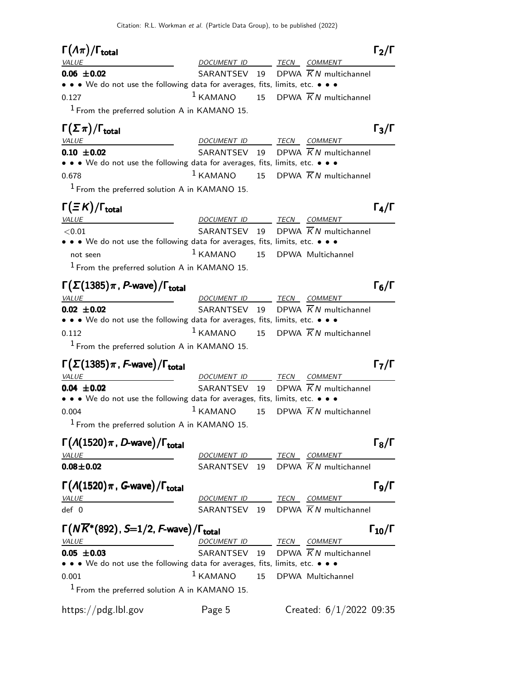| $\Gamma(\Lambda \pi)/\Gamma_{\rm total}$                                                                                                                                                                                                             |                          |    |                                                | $\Gamma_2/\Gamma$                    |
|------------------------------------------------------------------------------------------------------------------------------------------------------------------------------------------------------------------------------------------------------|--------------------------|----|------------------------------------------------|--------------------------------------|
| <i>VALUE</i>                                                                                                                                                                                                                                         | DOCUMENT ID              |    | TECN COMMENT                                   |                                      |
| $0.06 \pm 0.02$                                                                                                                                                                                                                                      | SARANTSEV 19             |    | DPWA $\overline{K}N$ multichannel              |                                      |
| • • • We do not use the following data for averages, fits, limits, etc. • • •                                                                                                                                                                        |                          |    |                                                |                                      |
| 0.127                                                                                                                                                                                                                                                | $1$ KAMANO               |    | 15 DPWA $\overline{K}N$ multichannel           |                                      |
| <sup>1</sup> From the preferred solution A in KAMANO 15.                                                                                                                                                                                             |                          |    |                                                |                                      |
| $\Gamma(\Sigma \pi)/\Gamma_{\rm total}$                                                                                                                                                                                                              |                          |    |                                                | $\Gamma_3/\Gamma$                    |
| <i>VALUE</i>                                                                                                                                                                                                                                         | DOCUMENT ID TECN         |    | <b>COMMENT</b>                                 |                                      |
| $0.10 \pm 0.02$                                                                                                                                                                                                                                      |                          |    | SARANTSEV 19 DPWA $\overline{K}N$ multichannel |                                      |
| • • We do not use the following data for averages, fits, limits, etc. • • •                                                                                                                                                                          |                          |    |                                                |                                      |
| 0.678                                                                                                                                                                                                                                                | $1$ KAMANO               |    | 15 DPWA $\overline{K}N$ multichannel           |                                      |
| $1$ From the preferred solution A in KAMANO 15.                                                                                                                                                                                                      |                          |    |                                                |                                      |
| $\Gamma(\equiv K)/\Gamma_{\rm total}$                                                                                                                                                                                                                |                          |    |                                                | $\Gamma_4/\Gamma$                    |
| <b>VALUE</b>                                                                                                                                                                                                                                         | DOCUMENT ID TECN COMMENT |    |                                                |                                      |
| < 0.01                                                                                                                                                                                                                                               |                          |    | SARANTSEV 19 DPWA $\overline{K}N$ multichannel |                                      |
| • • • We do not use the following data for averages, fits, limits, etc. • • •                                                                                                                                                                        |                          |    |                                                |                                      |
| not seen                                                                                                                                                                                                                                             | $1$ KAMANO               | 15 | DPWA Multichannel                              |                                      |
| $1$ From the preferred solution A in KAMANO 15.                                                                                                                                                                                                      |                          |    |                                                |                                      |
| $\Gamma(\Sigma(1385)\pi, P$ -wave)/ $\Gamma_{\text{total}}$                                                                                                                                                                                          |                          |    |                                                | $\Gamma_6/\Gamma$                    |
| <i>VALUE</i>                                                                                                                                                                                                                                         | DOCUMENT ID TECN COMMENT |    |                                                |                                      |
| $0.02 \pm 0.02$                                                                                                                                                                                                                                      | SARANTSEV 19             |    | DPWA K N multichannel                          |                                      |
| • • • We do not use the following data for averages, fits, limits, etc. • • •                                                                                                                                                                        |                          |    |                                                |                                      |
| 0.112                                                                                                                                                                                                                                                | $1$ KAMANO               |    | 15 DPWA $\overline{K}N$ multichannel           |                                      |
| $1$ From the preferred solution A in KAMANO 15.                                                                                                                                                                                                      |                          |    |                                                |                                      |
|                                                                                                                                                                                                                                                      |                          |    |                                                |                                      |
| $\Gamma(\Sigma(1385)\pi$ , F-wave)/ $\Gamma_{\rm total}$                                                                                                                                                                                             |                          |    |                                                | $\Gamma_7/\Gamma$                    |
| <i>VALUE</i>                                                                                                                                                                                                                                         | DOCUMENT ID              |    | TECN COMMENT                                   |                                      |
| $0.04 \pm 0.02$<br>• • • We do not use the following data for averages, fits, limits, etc. • • •                                                                                                                                                     |                          |    | SARANTSEV 19 DPWA $\overline{K}N$ multichannel |                                      |
| 0.004                                                                                                                                                                                                                                                | $1$ KAMANO               | 15 | DPWA $\overline{K}N$ multichannel              |                                      |
|                                                                                                                                                                                                                                                      |                          |    |                                                |                                      |
|                                                                                                                                                                                                                                                      |                          |    |                                                |                                      |
| <sup>1</sup> From the preferred solution A in KAMANO 15.                                                                                                                                                                                             |                          |    |                                                |                                      |
|                                                                                                                                                                                                                                                      |                          |    |                                                | $\Gamma_8/\Gamma$                    |
|                                                                                                                                                                                                                                                      | DOCUMENT ID TECN COMMENT |    |                                                |                                      |
|                                                                                                                                                                                                                                                      |                          |    | SARANTSEV 19 DPWA $\overline{K}N$ multichannel |                                      |
|                                                                                                                                                                                                                                                      |                          |    |                                                |                                      |
|                                                                                                                                                                                                                                                      |                          |    |                                                |                                      |
|                                                                                                                                                                                                                                                      | DOCUMENT ID TECN COMMENT |    |                                                |                                      |
|                                                                                                                                                                                                                                                      |                          |    | SARANTSEV 19 DPWA $\overline{K}N$ multichannel |                                      |
|                                                                                                                                                                                                                                                      |                          |    |                                                |                                      |
| $\Gamma(A(1520)\pi, D$ -wave)/ $\Gamma_{\text{total}}$<br>VALUE<br>$0.08 + 0.02$<br>$\Gamma(A(1520)\pi, G$ -wave)/ $\Gamma_{\text{total}}$<br>VALUE<br>def 0<br>$\Gamma(N\overline{K}^*(892)$ , S=1/2, F-wave)/ $\Gamma_{\rm total}$<br><b>VALUE</b> | DOCUMENT ID TECN COMMENT |    |                                                | $\Gamma$ 9/Г<br>$\Gamma_{10}/\Gamma$ |
| $0.05 \pm 0.03$                                                                                                                                                                                                                                      | SARANTSEV 19             |    | DPWA $\overline{K}N$ multichannel              |                                      |
| • • • We do not use the following data for averages, fits, limits, etc. • • •<br>0.001                                                                                                                                                               | $1$ KAMANO               | 15 | DPWA Multichannel                              |                                      |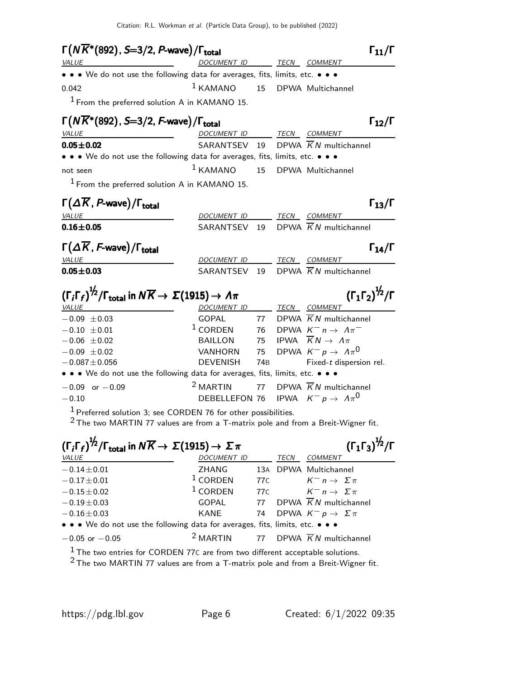| $\Gamma(N\overline{K}^*(892), S=3/2, P$ -wave)/ $\Gamma_{\rm total}$                                                                                            |                          |                 | $\Gamma_{11}/\Gamma$                                 |  |  |
|-----------------------------------------------------------------------------------------------------------------------------------------------------------------|--------------------------|-----------------|------------------------------------------------------|--|--|
| <b>VALUE</b>                                                                                                                                                    | DOCUMENT ID              |                 | TECN COMMENT                                         |  |  |
| • • • We do not use the following data for averages, fits, limits, etc. • • •                                                                                   |                          |                 |                                                      |  |  |
| 0.042                                                                                                                                                           | $1$ KAMANO               |                 | 15 DPWA Multichannel                                 |  |  |
| $1$ From the preferred solution A in KAMANO 15.                                                                                                                 |                          |                 |                                                      |  |  |
| $\Gamma(N\overline{K}^*(892), S=3/2, F$ -wave)/ $\Gamma_{\text{total}}$                                                                                         |                          |                 | $\Gamma_{12}/\Gamma$                                 |  |  |
| VALUE                                                                                                                                                           | DOCUMENT ID TECN COMMENT |                 |                                                      |  |  |
| $0.05 \pm 0.02$                                                                                                                                                 | SARANTSEV 19             |                 | DPWA $\overline{K}N$ multichannel                    |  |  |
| • • • We do not use the following data for averages, fits, limits, etc. • • •                                                                                   |                          |                 |                                                      |  |  |
| not seen                                                                                                                                                        | $1$ KAMANO               |                 | 15 DPWA Multichannel                                 |  |  |
| $1$ From the preferred solution A in KAMANO 15.                                                                                                                 |                          |                 |                                                      |  |  |
| $\Gamma(\Delta \overline{K}, P$ -wave)/ $\Gamma_{\text{total}}$                                                                                                 |                          |                 | $\Gamma_{13}/\Gamma$                                 |  |  |
| <b>VALUE</b>                                                                                                                                                    | DOCUMENT ID TECN COMMENT |                 |                                                      |  |  |
| $0.16 \pm 0.05$                                                                                                                                                 | SARANTSEV 19             |                 | DPWA $\overline{K}N$ multichannel                    |  |  |
| $\Gamma(\Delta\overline{K}, F$ -wave)/ $\Gamma_{\rm total}$                                                                                                     |                          |                 | $\Gamma_{14}/\Gamma$                                 |  |  |
| VALUE                                                                                                                                                           | DOCUMENT ID              |                 | TECN COMMENT                                         |  |  |
| $0.05 \pm 0.03$                                                                                                                                                 | SARANTSEV 19             |                 | DPWA $\overline{K}N$ multichannel                    |  |  |
| $(\Gamma_i \Gamma_f)^{\frac{1}{2}}$ / $\Gamma_{\text{total}}$ in $N \overline{K} \rightarrow \Sigma (1915) \rightarrow \Lambda \pi$<br><u>VALUE</u>             | DOCUMENT ID TECN COMMENT |                 | $({\Gamma_1 \Gamma_2})^{\frac{1}{2}}/{\Gamma}$       |  |  |
| $-0.09 \pm 0.03$                                                                                                                                                | GOPAL                    |                 | 77 DPWA $\overline{K}N$ multichannel                 |  |  |
| $-0.10 \pm 0.01$                                                                                                                                                | $1$ CORDEN               |                 | 76 DPWA $K^- n \rightarrow \Lambda \pi^-$            |  |  |
| $-0.06 \pm 0.02$                                                                                                                                                | BAILLON                  |                 | 75 IPWA $\overline{K}N \rightarrow \Lambda \pi$      |  |  |
| $-0.09 \pm 0.02$                                                                                                                                                | VANHORN                  |                 | 75 DPWA $K^- p \rightarrow A \pi^0$                  |  |  |
| $-0.087 \pm 0.056$                                                                                                                                              | <b>DEVENISH</b>          | 74B             | Fixed-t dispersion rel.                              |  |  |
| • • • We do not use the following data for averages, fits, limits, etc. • • •                                                                                   |                          |                 |                                                      |  |  |
| $-0.09$ or $-0.09$                                                                                                                                              | $2$ MARTIN               | 77              | DPWA $\overline{K}N$ multichannel                    |  |  |
| $-0.10$                                                                                                                                                         |                          |                 | DEBELLEFON 76 IPWA $K^- p \rightarrow \Lambda \pi^0$ |  |  |
| <sup>1</sup> Preferred solution 3; see CORDEN 76 for other possibilities.<br>$2$ The two MARTIN 77 values are from a T-matrix pole and from a Breit-Wigner fit. |                          |                 |                                                      |  |  |
| $(\Gamma_i \Gamma_f)^{1/2}/\Gamma_{total}$ in $N\overline{K} \rightarrow \Sigma(1915) \rightarrow \Sigma \pi$                                                   |                          |                 | $(\Gamma_1 \Gamma_3)^{\frac{1}{2}} / \Gamma$         |  |  |
|                                                                                                                                                                 |                          |                 |                                                      |  |  |
| VALUE                                                                                                                                                           | DOCUMENT ID              | 13A             | TECN COMMENT<br>DPWA Multichannel                    |  |  |
| $-0.14 \pm 0.01$<br>$-0.17 \pm 0.01$                                                                                                                            | ZHANG<br>$1$ CORDEN      | 77 <sub>C</sub> | $K^-$ n $\rightarrow$ $\Sigma \pi$                   |  |  |
| $-0.15 \pm 0.02$                                                                                                                                                | $1$ CORDEN               | 77 <sub>C</sub> | $K^-$ n $\rightarrow$ $\Sigma \pi$                   |  |  |
| $-0.19 \!\pm\! 0.03$                                                                                                                                            | GOPAL                    | 77              | DPWA $\overline{K}N$ multichannel                    |  |  |

 $-0.16 \pm 0.03$  KANE 74 DPWA  $K^- p \rightarrow \Sigma \pi$ • • • We do not use the following data for averages, fits, limits, etc. • • •

 $-0.05$  or  $-0.05$  2 MARTIN 77 DPWA  $\overline{K}N$  multichannel

 $^1$  The two entries for CORDEN 77C are from two different acceptable solutions.

 $^2$ The two MARTIN 77 values are from a T-matrix pole and from a Breit-Wigner fit.